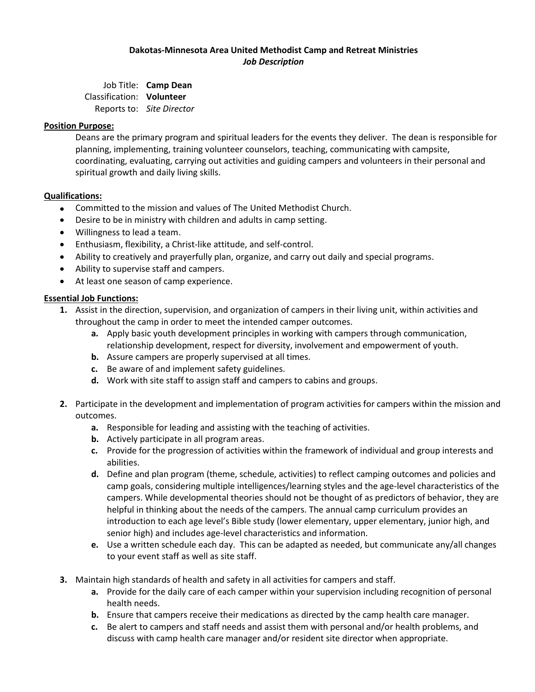### **Dakotas-Minnesota Area United Methodist Camp and Retreat Ministries** *Job Description*

Job Title: **Camp Dean** Classification: **Volunteer** Reports to: *Site Director*

#### **Position Purpose:**

Deans are the primary program and spiritual leaders for the events they deliver. The dean is responsible for planning, implementing, training volunteer counselors, teaching, communicating with campsite, coordinating, evaluating, carrying out activities and guiding campers and volunteers in their personal and spiritual growth and daily living skills.

### **Qualifications:**

- Committed to the mission and values of The United Methodist Church.
- Desire to be in ministry with children and adults in camp setting.
- Willingness to lead a team.
- Enthusiasm, flexibility, a Christ-like attitude, and self-control.
- Ability to creatively and prayerfully plan, organize, and carry out daily and special programs.
- Ability to supervise staff and campers.
- At least one season of camp experience.

### **Essential Job Functions:**

- **1.** Assist in the direction, supervision, and organization of campers in their living unit, within activities and throughout the camp in order to meet the intended camper outcomes.
	- **a.** Apply basic youth development principles in working with campers through communication, relationship development, respect for diversity, involvement and empowerment of youth.
	- **b.** Assure campers are properly supervised at all times.
	- **c.** Be aware of and implement safety guidelines.
	- **d.** Work with site staff to assign staff and campers to cabins and groups.
- **2.** Participate in the development and implementation of program activities for campers within the mission and outcomes.
	- **a.** Responsible for leading and assisting with the teaching of activities.
	- **b.** Actively participate in all program areas.
	- **c.** Provide for the progression of activities within the framework of individual and group interests and abilities.
	- **d.** Define and plan program (theme, schedule, activities) to reflect camping outcomes and policies and camp goals, considering multiple intelligences/learning styles and the age-level characteristics of the campers. While developmental theories should not be thought of as predictors of behavior, they are helpful in thinking about the needs of the campers. The annual camp curriculum provides an introduction to each age level's Bible study (lower elementary, upper elementary, junior high, and senior high) and includes age-level characteristics and information.
	- **e.** Use a written schedule each day. This can be adapted as needed, but communicate any/all changes to your event staff as well as site staff.
- **3.** Maintain high standards of health and safety in all activities for campers and staff.
	- **a.** Provide for the daily care of each camper within your supervision including recognition of personal health needs.
	- **b.** Ensure that campers receive their medications as directed by the camp health care manager.
	- **c.** Be alert to campers and staff needs and assist them with personal and/or health problems, and discuss with camp health care manager and/or resident site director when appropriate.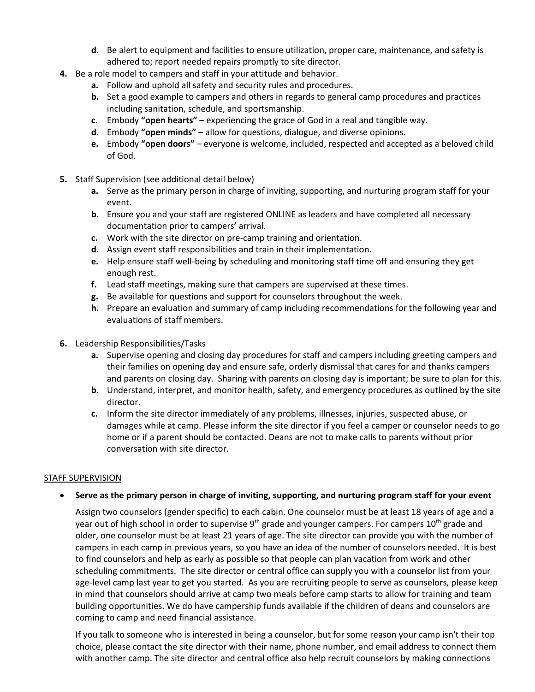- **d.** Be alert to equipment and facilities to ensure utilization, proper care, maintenance, and safety is adhered to; report needed repairs promptly to site director.
- **4.** Be a role model to campers and staff in your attitude and behavior.
	- **a.** Follow and uphold all safety and security rules and procedures.
	- **b.** Set a good example to campers and others in regards to general camp procedures and practices including sanitation, schedule, and sportsmanship.
	- **c.** Embody **"open hearts"** experiencing the grace of God in a real and tangible way.
	- **d.** Embody **"open minds"** allow for questions, dialogue, and diverse opinions.
	- **e.** Embody **"open doors"** everyone is welcome, included, respected and accepted as a beloved child of God.
- **5.** Staff Supervision (see additional detail below)
	- **a.** Serve as the primary person in charge of inviting, supporting, and nurturing program staff for your event.
	- **b.** Ensure you and your staff are registered ONLINE as leaders and have completed all necessary documentation prior to campers' arrival.
	- **c.** Work with the site director on pre-camp training and orientation.
	- **d.** Assign event staff responsibilities and train in their implementation.
	- **e.** Help ensure staff well-being by scheduling and monitoring staff time off and ensuring they get enough rest.
	- **f.** Lead staff meetings, making sure that campers are supervised at these times.
	- **g.** Be available for questions and support for counselors throughout the week.
	- **h.** Prepare an evaluation and summary of camp including recommendations for the following year and evaluations of staff members.
- **6.** Leadership Responsibilities/Tasks
	- **a.** Supervise opening and closing day procedures for staff and campers including greeting campers and their families on opening day and ensure safe, orderly dismissal that cares for and thanks campers and parents on closing day. Sharing with parents on closing day is important; be sure to plan for this.
	- **b.** Understand, interpret, and monitor health, safety, and emergency procedures as outlined by the site director.
	- **c.** Inform the site director immediately of any problems, illnesses, injuries, suspected abuse, or damages while at camp. Please inform the site director if you feel a camper or counselor needs to go home or if a parent should be contacted. Deans are not to make calls to parents without prior conversation with site director.

### STAFF SUPERVISION

### **Serve as the primary person in charge of inviting, supporting, and nurturing program staff for your event**

Assign two counselors (gender specific) to each cabin. One counselor must be at least 18 years of age and a year out of high school in order to supervise 9<sup>th</sup> grade and younger campers. For campers 10<sup>th</sup> grade and older, one counselor must be at least 21 years of age. The site director can provide you with the number of campers in each camp in previous years, so you have an idea of the number of counselors needed. It is best to find counselors and help as early as possible so that people can plan vacation from work and other scheduling commitments. The site director or central office can supply you with a counselor list from your age-level camp last year to get you started. As you are recruiting people to serve as counselors, please keep in mind that counselors should arrive at camp two meals before camp starts to allow for training and team building opportunities. We do have campership funds available if the children of deans and counselors are coming to camp and need financial assistance.

If you talk to someone who is interested in being a counselor, but for some reason your camp isn't their top choice, please contact the site director with their name, phone number, and email address to connect them with another camp. The site director and central office also help recruit counselors by making connections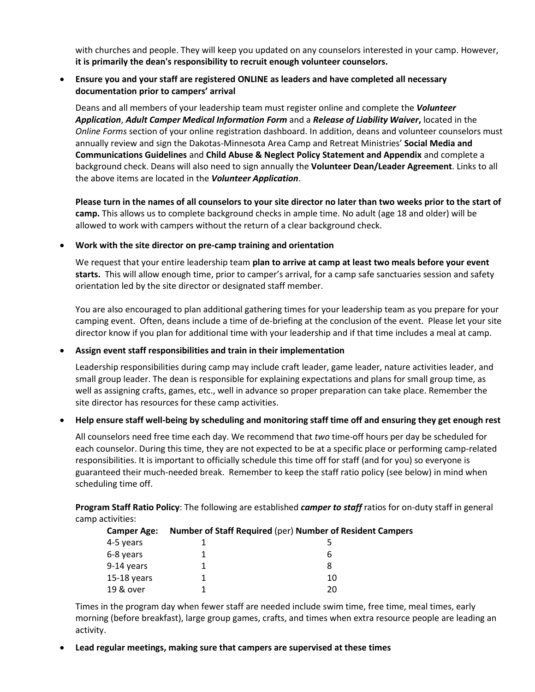with churches and people. They will keep you updated on any counselors interested in your camp. However, **it is primarily the dean's responsibility to recruit enough volunteer counselors.**

# **Ensure you and your staff are registered ONLINE as leaders and have completed all necessary documentation prior to campers' arrival**

Deans and all members of your leadership team must register online and complete the *Volunteer Application*, *Adult Camper Medical Information Form* and a *Release of Liability Waiver***,** located in the *Online Forms* section of your online registration dashboard. In addition, deans and volunteer counselors must annually review and sign the Dakotas-Minnesota Area Camp and Retreat Ministries' **Social Media and Communications Guidelines** and **Child Abuse & Neglect Policy Statement and Appendix** and complete a background check. Deans will also need to sign annually the **Volunteer Dean/Leader Agreement**. Links to all the above items are located in the *Volunteer Application*.

**Please turn in the names of all counselors to your site director no later than two weeks prior to the start of camp.** This allows us to complete background checks in ample time. No adult (age 18 and older) will be allowed to work with campers without the return of a clear background check.

### **Work with the site director on pre-camp training and orientation**

We request that your entire leadership team **plan to arrive at camp at least two meals before your event starts.** This will allow enough time, prior to camper's arrival, for a camp safe sanctuaries session and safety orientation led by the site director or designated staff member.

You are also encouraged to plan additional gathering times for your leadership team as you prepare for your camping event. Often, deans include a time of de-briefing at the conclusion of the event. Please let your site director know if you plan for additional time with your leadership and if that time includes a meal at camp.

## **Assign event staff responsibilities and train in their implementation**

Leadership responsibilities during camp may include craft leader, game leader, nature activities leader, and small group leader. The dean is responsible for explaining expectations and plans for small group time, as well as assigning crafts, games, etc., well in advance so proper preparation can take place. Remember the site director has resources for these camp activities.

# **Help ensure staff well-being by scheduling and monitoring staff time off and ensuring they get enough rest**

All counselors need free time each day. We recommend that *two* time-off hours per day be scheduled for each counselor. During this time, they are not expected to be at a specific place or performing camp-related responsibilities. It is important to officially schedule this time off for staff (and for you) so everyone is guaranteed their much-needed break. Remember to keep the staff ratio policy (see below) in mind when scheduling time off.

**Program Staff Ratio Policy**: The following are established *camper to staff* ratios for on-duty staff in general camp activities:

| <b>Camper Age:</b> | Number of Staff Required (per) Number of Resident Campers |
|--------------------|-----------------------------------------------------------|
| 4-5 years          |                                                           |
| 6-8 years          | b                                                         |
| 9-14 years         | 8                                                         |
| $15-18$ years      | 10                                                        |
| 19 & over          | 20                                                        |

Times in the program day when fewer staff are needed include swim time, free time, meal times, early morning (before breakfast), large group games, crafts, and times when extra resource people are leading an activity.

### **Lead regular meetings, making sure that campers are supervised at these times**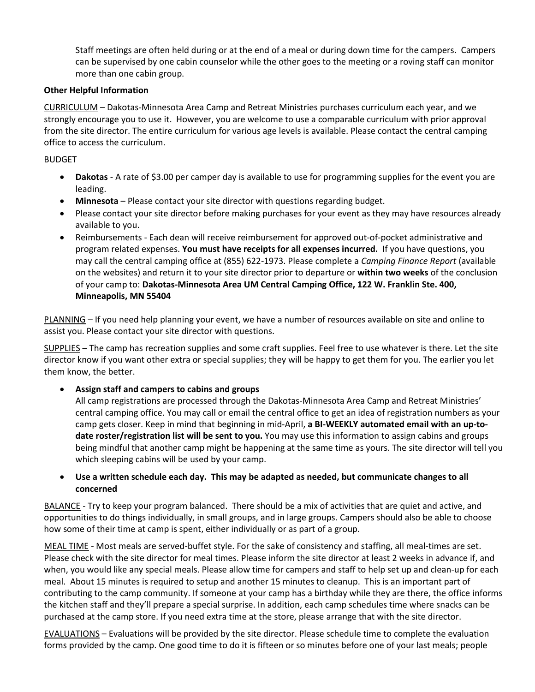Staff meetings are often held during or at the end of a meal or during down time for the campers. Campers can be supervised by one cabin counselor while the other goes to the meeting or a roving staff can monitor more than one cabin group.

### **Other Helpful Information**

CURRICULUM – Dakotas-Minnesota Area Camp and Retreat Ministries purchases curriculum each year, and we strongly encourage you to use it. However, you are welcome to use a comparable curriculum with prior approval from the site director. The entire curriculum for various age levels is available. Please contact the central camping office to access the curriculum.

## BUDGET

- **Dakotas** A rate of \$3.00 per camper day is available to use for programming supplies for the event you are leading.
- **Minnesota**  Please contact your site director with questions regarding budget.
- Please contact your site director before making purchases for your event as they may have resources already available to you.
- Reimbursements Each dean will receive reimbursement for approved out-of-pocket administrative and program related expenses. **You must have receipts for all expenses incurred.** If you have questions, you may call the central camping office at (855) 622-1973. Please complete a *Camping Finance Report* (available on the websites) and return it to your site director prior to departure or **within two weeks** of the conclusion of your camp to: **Dakotas-Minnesota Area UM Central Camping Office, 122 W. Franklin Ste. 400, Minneapolis, MN 55404**

PLANNING – If you need help planning your event, we have a number of resources available on site and online to assist you. Please contact your site director with questions.

SUPPLIES – The camp has recreation supplies and some craft supplies. Feel free to use whatever is there. Let the site director know if you want other extra or special supplies; they will be happy to get them for you. The earlier you let them know, the better.

# **Assign staff and campers to cabins and groups**

All camp registrations are processed through the Dakotas-Minnesota Area Camp and Retreat Ministries' central camping office. You may call or email the central office to get an idea of registration numbers as your camp gets closer. Keep in mind that beginning in mid-April, **a BI-WEEKLY automated email with an up-todate roster/registration list will be sent to you.** You may use this information to assign cabins and groups being mindful that another camp might be happening at the same time as yours. The site director will tell you which sleeping cabins will be used by your camp.

# **Use a written schedule each day. This may be adapted as needed, but communicate changes to all concerned**

BALANCE - Try to keep your program balanced. There should be a mix of activities that are quiet and active, and opportunities to do things individually, in small groups, and in large groups. Campers should also be able to choose how some of their time at camp is spent, either individually or as part of a group.

MEAL TIME - Most meals are served-buffet style. For the sake of consistency and staffing, all meal-times are set. Please check with the site director for meal times. Please inform the site director at least 2 weeks in advance if, and when, you would like any special meals. Please allow time for campers and staff to help set up and clean-up for each meal. About 15 minutes is required to setup and another 15 minutes to cleanup. This is an important part of contributing to the camp community. If someone at your camp has a birthday while they are there, the office informs the kitchen staff and they'll prepare a special surprise. In addition, each camp schedules time where snacks can be purchased at the camp store. If you need extra time at the store, please arrange that with the site director.

EVALUATIONS – Evaluations will be provided by the site director. Please schedule time to complete the evaluation forms provided by the camp. One good time to do it is fifteen or so minutes before one of your last meals; people